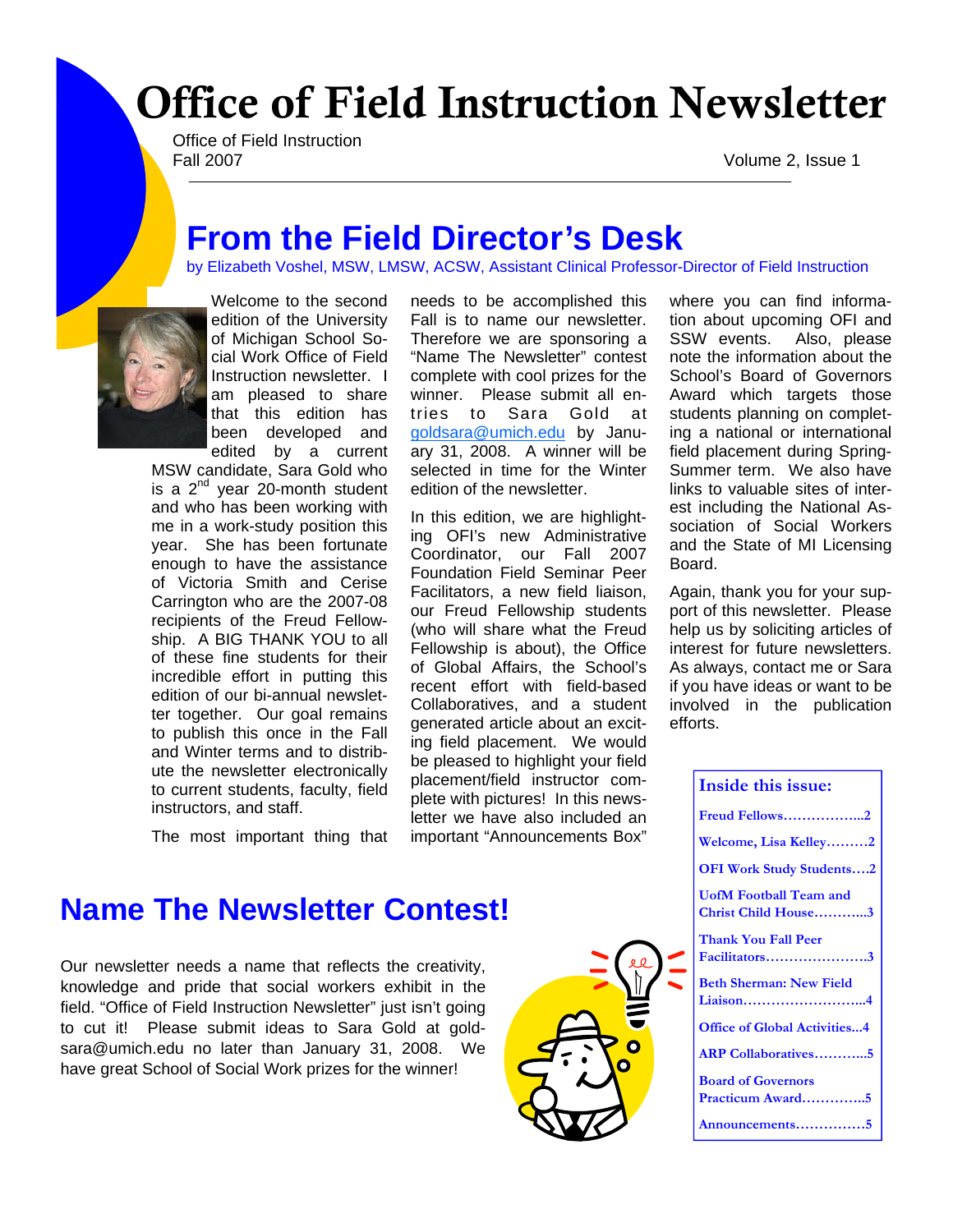# Office of Field Instruction Newsletter

Office of Field Instruction Fall 2007 Volume 2, Issue 1

## **From the Field Director's Desk**

by Elizabeth Voshel, MSW, LMSW, ACSW, Assistant Clinical Professor-Director of Field Instruction



Welcome to the second edition of the University of Michigan School Social Work Office of Field Instruction newsletter. I am pleased to share that this edition has been developed and edited by a current

MSW candidate, Sara Gold who is a  $2<sup>nd</sup>$  year 20-month student and who has been working with me in a work-study position this year. She has been fortunate enough to have the assistance of Victoria Smith and Cerise Carrington who are the 2007-08 recipients of the Freud Fellowship. A BIG THANK YOU to all of these fine students for their incredible effort in putting this edition of our bi-annual newsletter together. Our goal remains to publish this once in the Fall and Winter terms and to distribute the newsletter electronically to current students, faculty, field instructors, and staff.

The most important thing that

needs to be accomplished this Fall is to name our newsletter. Therefore we are sponsoring a "Name The Newsletter" contest complete with cool prizes for the winner. Please submit all entries to Sara Gold at goldsara@umich.edu by January 31, 2008. A winner will be selected in time for the Winter edition of the newsletter.

In this edition, we are highlighting OFI's new Administrative Coordinator, our Fall 2007 Foundation Field Seminar Peer Facilitators, a new field liaison, our Freud Fellowship students (who will share what the Freud Fellowship is about), the Office of Global Affairs, the School's recent effort with field-based Collaboratives, and a student generated article about an exciting field placement. We would be pleased to highlight your field placement/field instructor complete with pictures! In this newsletter we have also included an important "Announcements Box"

where you can find information about upcoming OFI and SSW events. Also, please note the information about the School's Board of Governors Award which targets those students planning on completing a national or international field placement during Spring-Summer term. We also have links to valuable sites of interest including the National Association of Social Workers and the State of MI Licensing Board.

Again, thank you for your support of this newsletter. Please help us by soliciting articles of interest for future newsletters. As always, contact me or Sara if you have ideas or want to be involved in the publication efforts.

| Inside this issue:                                   |
|------------------------------------------------------|
| Freud Fellows2                                       |
| Welcome, Lisa Kelley2                                |
| <b>OFI Work Study Students2</b>                      |
| <b>UofM Football Team and</b><br>Christ Child House3 |
| Thank You Fall Peer<br>Facilitators3                 |
| <b>Beth Sherman: New Field</b><br>Liaison4           |
| <b>Office of Global Activities4</b>                  |
| <b>ARP Collaboratives5</b>                           |
| <b>Board of Governors</b><br>Practicum Award5        |
| Announcements5                                       |

## **Name The Newsletter Contest!**

Our newsletter needs a name that reflects the creativity, knowledge and pride that social workers exhibit in the field. "Office of Field Instruction Newsletter" just isn't going to cut it! Please submit ideas to Sara Gold at goldsara@umich.edu no later than January 31, 2008. We have great School of Social Work prizes for the winner!

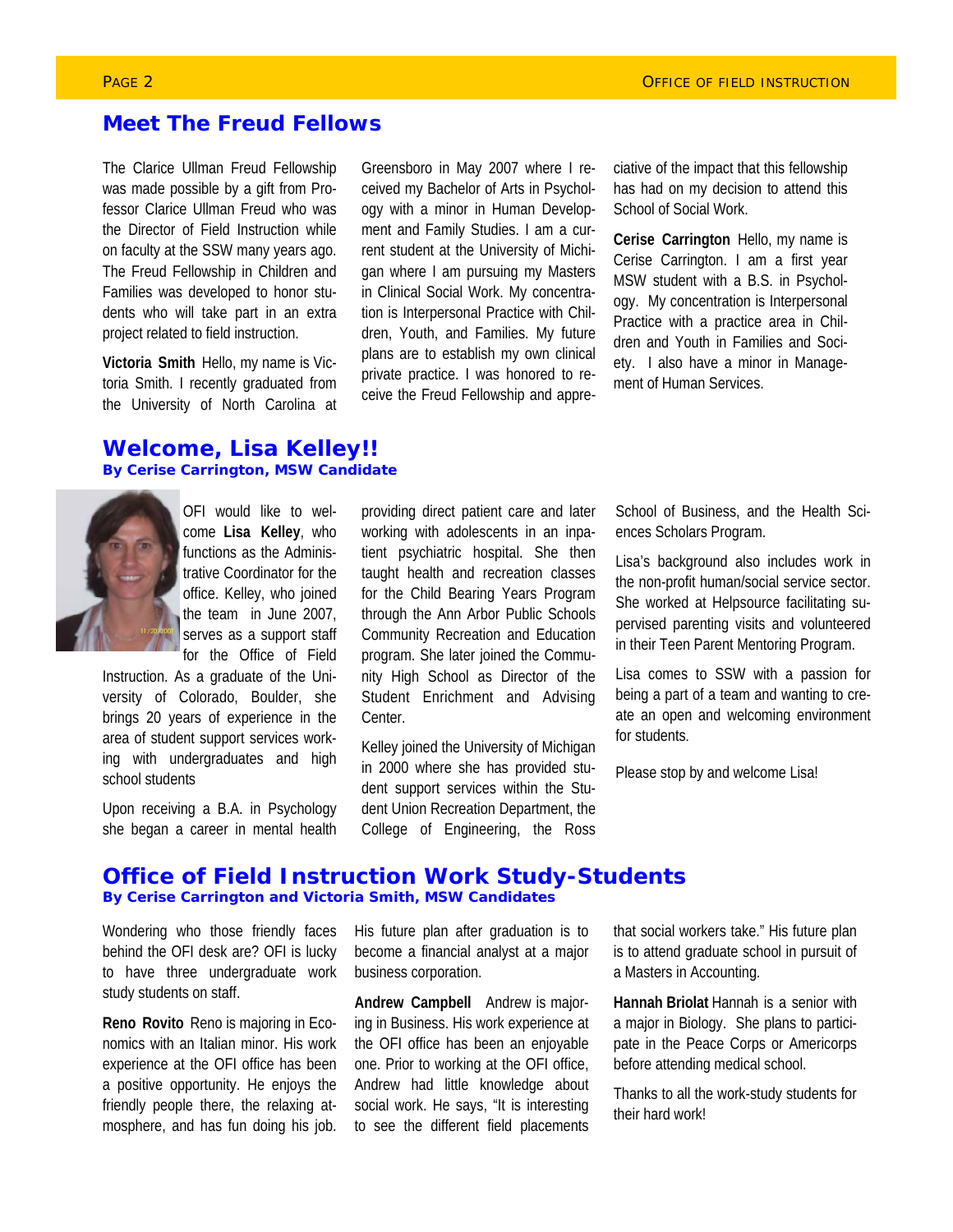### **Meet The Freud Fellows**

The Clarice Ullman Freud Fellowship was made possible by a gift from Professor Clarice Ullman Freud who was the Director of Field Instruction while on faculty at the SSW many years ago. The Freud Fellowship in Children and Families was developed to honor students who will take part in an extra project related to field instruction.

**Victoria Smith** Hello, my name is Victoria Smith. I recently graduated from the University of North Carolina at

Greensboro in May 2007 where I received my Bachelor of Arts in Psychology with a minor in Human Development and Family Studies. I am a current student at the University of Michigan where I am pursuing my Masters in Clinical Social Work. My concentration is Interpersonal Practice with Children, Youth, and Families. My future plans are to establish my own clinical private practice. I was honored to receive the Freud Fellowship and appre-

ciative of the impact that this fellowship has had on my decision to attend this School of Social Work.

**Cerise Carrington** Hello, my name is Cerise Carrington. I am a first year MSW student with a B.S. in Psychology. My concentration is Interpersonal Practice with a practice area in Children and Youth in Families and Society. I also have a minor in Management of Human Services.

### **Welcome, Lisa Kelley!! By Cerise Carrington, MSW Candidate**



OFI would like to welcome **Lisa Kelley**, who functions as the Administrative Coordinator for the office. Kelley, who joined the team in June 2007, serves as a support staff for the Office of Field

Instruction. As a graduate of the University of Colorado, Boulder, she brings 20 years of experience in the area of student support services working with undergraduates and high school students

Upon receiving a B.A. in Psychology she began a career in mental health providing direct patient care and later working with adolescents in an inpatient psychiatric hospital. She then taught health and recreation classes for the Child Bearing Years Program through the Ann Arbor Public Schools Community Recreation and Education program. She later joined the Community High School as Director of the Student Enrichment and Advising Center.

Kelley joined the University of Michigan in 2000 where she has provided student support services within the Student Union Recreation Department, the College of Engineering, the Ross School of Business, and the Health Sciences Scholars Program.

Lisa's background also includes work in the non-profit human/social service sector. She worked at Helpsource facilitating supervised parenting visits and volunteered in their Teen Parent Mentoring Program.

Lisa comes to SSW with a passion for being a part of a team and wanting to create an open and welcoming environment for students.

Please stop by and welcome Lisa!

### **Office of Field Instruction Work Study-Students By Cerise Carrington and Victoria Smith, MSW Candidates**

Wondering who those friendly faces behind the OFI desk are? OFI is lucky to have three undergraduate work study students on staff.

**Reno Rovito** Reno is majoring in Economics with an Italian minor. His work experience at the OFI office has been a positive opportunity. He enjoys the friendly people there, the relaxing atmosphere, and has fun doing his job.

His future plan after graduation is to become a financial analyst at a major business corporation.

**Andrew Campbell** Andrew is majoring in Business. His work experience at the OFI office has been an enjoyable one. Prior to working at the OFI office, Andrew had little knowledge about social work. He says, "It is interesting to see the different field placements

that social workers take." His future plan is to attend graduate school in pursuit of a Masters in Accounting.

**Hannah Briolat** Hannah is a senior with a major in Biology. She plans to participate in the Peace Corps or Americorps before attending medical school.

Thanks to all the work-study students for their hard work!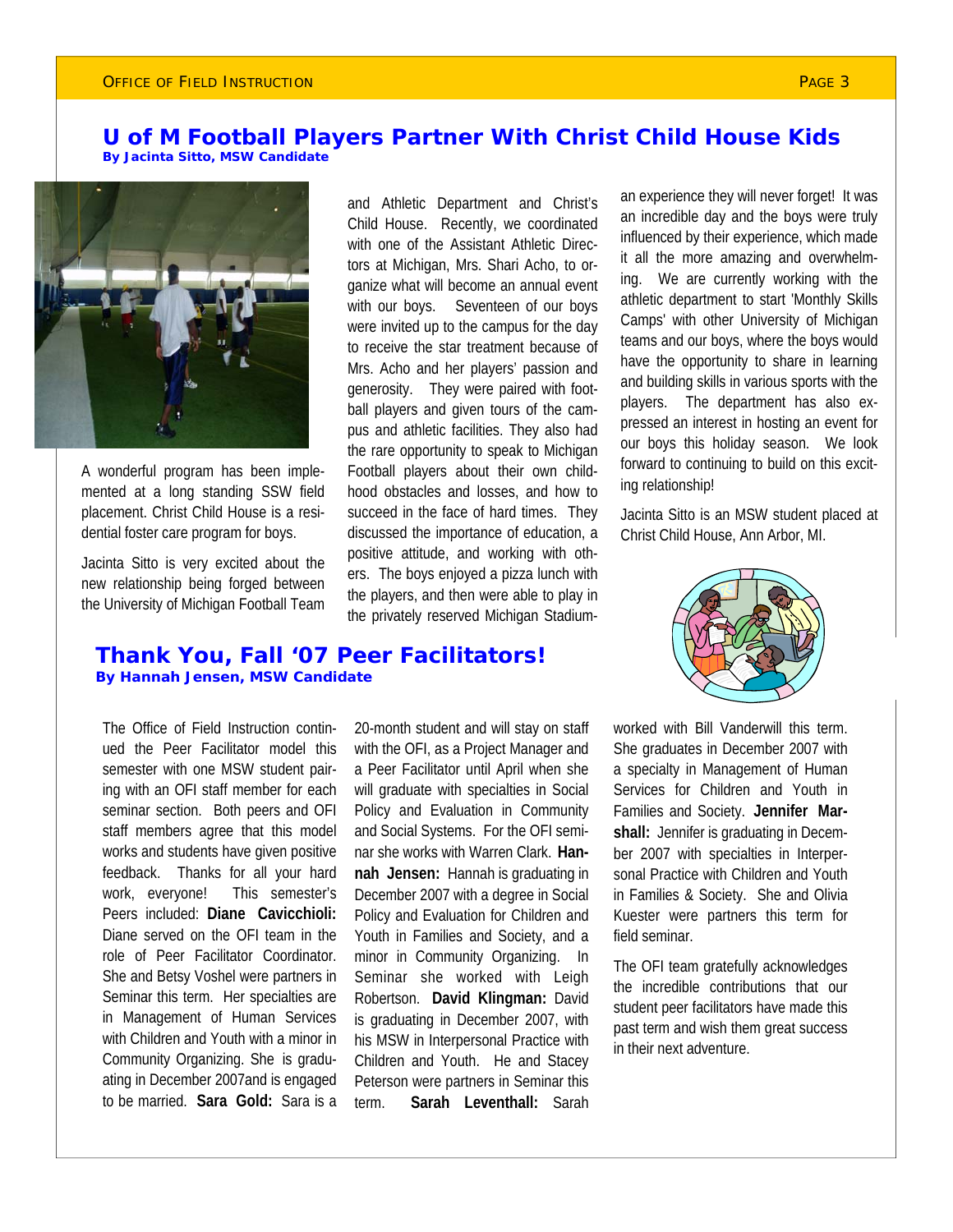### **U of M Football Players Partner With Christ Child House Kids By Jacinta Sitto, MSW Candidate**



A wonderful program has been implemented at a long standing SSW field placement. Christ Child House is a residential foster care program for boys.

Jacinta Sitto is very excited about the new relationship being forged between the University of Michigan Football Team and Athletic Department and Christ's Child House. Recently, we coordinated with one of the Assistant Athletic Directors at Michigan, Mrs. Shari Acho, to organize what will become an annual event with our boys. Seventeen of our boys were invited up to the campus for the day to receive the star treatment because of Mrs. Acho and her players' passion and generosity. They were paired with football players and given tours of the campus and athletic facilities. They also had the rare opportunity to speak to Michigan Football players about their own childhood obstacles and losses, and how to succeed in the face of hard times. They discussed the importance of education, a positive attitude, and working with others. The boys enjoyed a pizza lunch with the players, and then were able to play in the privately reserved Michigan Stadium-

an experience they will never forget! It was an incredible day and the boys were truly influenced by their experience, which made it all the more amazing and overwhelming. We are currently working with the athletic department to start 'Monthly Skills Camps' with other University of Michigan teams and our boys, where the boys would have the opportunity to share in learning and building skills in various sports with the players. The department has also expressed an interest in hosting an event for our boys this holiday season. We look forward to continuing to build on this exciting relationship!

Jacinta Sitto is an MSW student placed at Christ Child House, Ann Arbor, MI.



### **Thank You, Fall '07 Peer Facilitators! By Hannah Jensen, MSW Candidate**

The Office of Field Instruction continued the Peer Facilitator model this semester with one MSW student pairing with an OFI staff member for each seminar section. Both peers and OFI staff members agree that this model works and students have given positive feedback. Thanks for all your hard work, everyone! This semester's Peers included: **Diane Cavicchioli:**  Diane served on the OFI team in the role of Peer Facilitator Coordinator. She and Betsy Voshel were partners in Seminar this term. Her specialties are in Management of Human Services with Children and Youth with a minor in Community Organizing. She is graduating in December 2007and is engaged to be married. **Sara Gold:** Sara is a

20-month student and will stay on staff with the OFI, as a Project Manager and a Peer Facilitator until April when she will graduate with specialties in Social Policy and Evaluation in Community and Social Systems. For the OFI seminar she works with Warren Clark. **Hannah Jensen:** Hannah is graduating in December 2007 with a degree in Social Policy and Evaluation for Children and Youth in Families and Society, and a minor in Community Organizing. In Seminar she worked with Leigh Robertson. **David Klingman:** David is graduating in December 2007, with his MSW in Interpersonal Practice with Children and Youth. He and Stacey Peterson were partners in Seminar this term. **Sarah Leventhall:** Sarah

worked with Bill Vanderwill this term. She graduates in December 2007 with a specialty in Management of Human Services for Children and Youth in Families and Society. **Jennifer Marshall:** Jennifer is graduating in December 2007 with specialties in Interpersonal Practice with Children and Youth in Families & Society. She and Olivia Kuester were partners this term for field seminar.

The OFI team gratefully acknowledges the incredible contributions that our student peer facilitators have made this past term and wish them great success in their next adventure.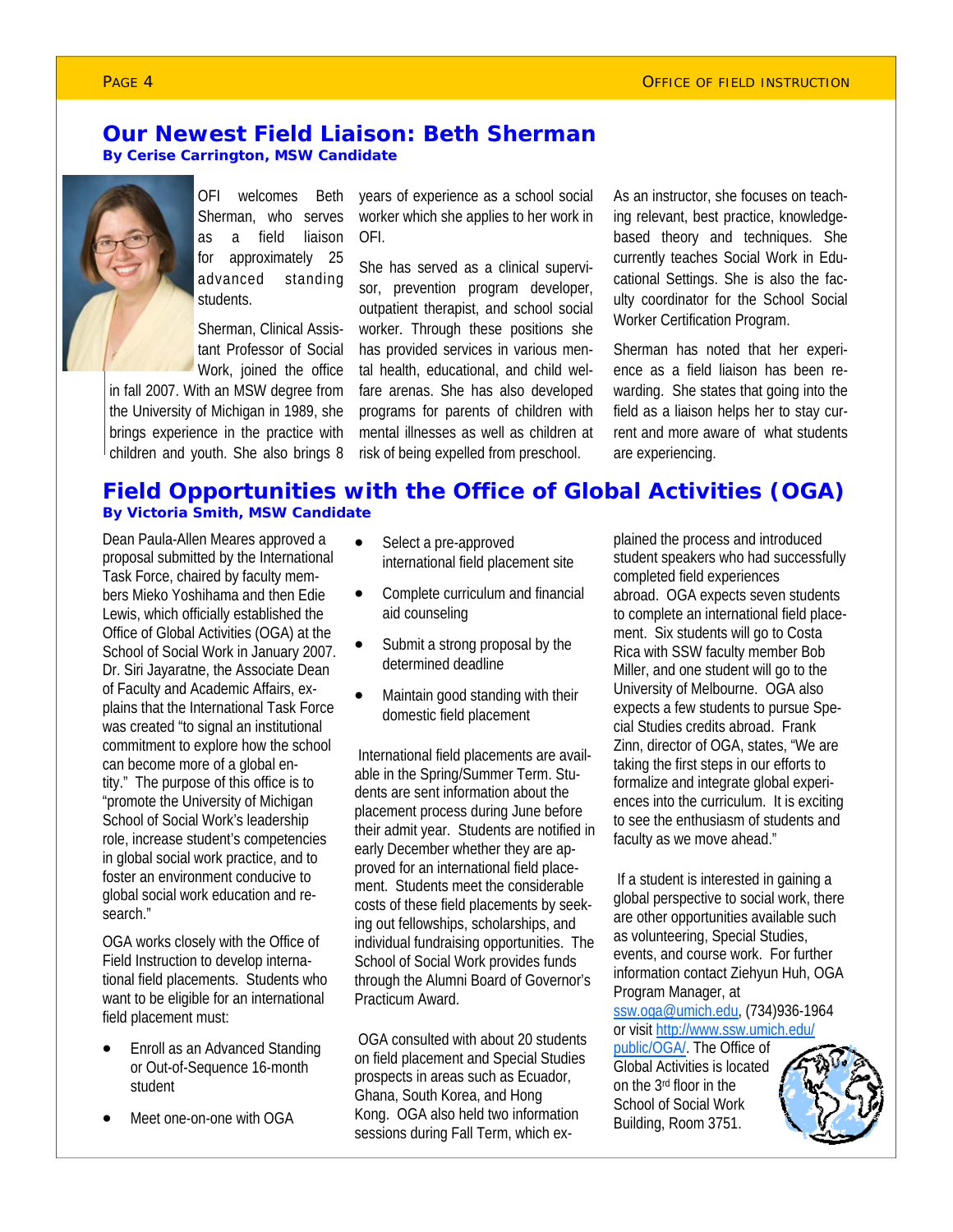### **Our Newest Field Liaison: Beth Sherman By Cerise Carrington, MSW Candidate**



OFI welcomes Beth Sherman, who serves as a field liaison for approximately 25 advanced standing students.

Sherman, Clinical Assistant Professor of Social Work, joined the office

in fall 2007. With an MSW degree from the University of Michigan in 1989, she brings experience in the practice with children and youth. She also brings 8

years of experience as a school social worker which she applies to her work in OFI.

She has served as a clinical supervisor, prevention program developer, outpatient therapist, and school social worker. Through these positions she has provided services in various mental health, educational, and child welfare arenas. She has also developed programs for parents of children with mental illnesses as well as children at risk of being expelled from preschool.

As an instructor, she focuses on teaching relevant, best practice, knowledgebased theory and techniques. She currently teaches Social Work in Educational Settings. She is also the faculty coordinator for the School Social Worker Certification Program.

Sherman has noted that her experience as a field liaison has been rewarding. She states that going into the field as a liaison helps her to stay current and more aware of what students are experiencing.

### **Field Opportunities with the Office of Global Activities (OGA) By Victoria Smith, MSW Candidate**

Dean Paula-Allen Meares approved a proposal submitted by the International Task Force, chaired by faculty members Mieko Yoshihama and then Edie Lewis, which officially established the Office of Global Activities (OGA) at the School of Social Work in January 2007. Dr. Siri Jayaratne, the Associate Dean of Faculty and Academic Affairs, explains that the International Task Force was created "to signal an institutional commitment to explore how the school can become more of a global entity." The purpose of this office is to "promote the University of Michigan School of Social Work's leadership role, increase student's competencies in global social work practice, and to foster an environment conducive to global social work education and research."

OGA works closely with the Office of Field Instruction to develop international field placements. Students who want to be eligible for an international field placement must:

- Enroll as an Advanced Standing or Out-of-Sequence 16-month student
- Meet one-on-one with OGA
- Select a pre-approved international field placement site
- Complete curriculum and financial aid counseling
- Submit a strong proposal by the determined deadline
- Maintain good standing with their domestic field placement

 International field placements are available in the Spring/Summer Term. Students are sent information about the placement process during June before their admit year. Students are notified in early December whether they are approved for an international field placement. Students meet the considerable costs of these field placements by seeking out fellowships, scholarships, and individual fundraising opportunities. The School of Social Work provides funds through the Alumni Board of Governor's Practicum Award.

 OGA consulted with about 20 students on field placement and Special Studies prospects in areas such as Ecuador, Ghana, South Korea, and Hong Kong. OGA also held two information sessions during Fall Term, which explained the process and introduced student speakers who had successfully completed field experiences abroad. OGA expects seven students to complete an international field placement. Six students will go to Costa Rica with SSW faculty member Bob Miller, and one student will go to the University of Melbourne. OGA also expects a few students to pursue Special Studies credits abroad. Frank Zinn, director of OGA, states, "We are taking the first steps in our efforts to formalize and integrate global experiences into the curriculum. It is exciting to see the enthusiasm of students and faculty as we move ahead."

 If a student is interested in gaining a global perspective to social work, there are other opportunities available such as volunteering, Special Studies, events, and course work. For further information contact Ziehyun Huh, OGA Program Manager, at ssw.oga@umich.edu, (734)936-1964 or visit http://www.ssw.umich.edu/

public/OGA/. The Office of Global Activities is located on the 3rd floor in the School of Social Work Building, Room 3751.

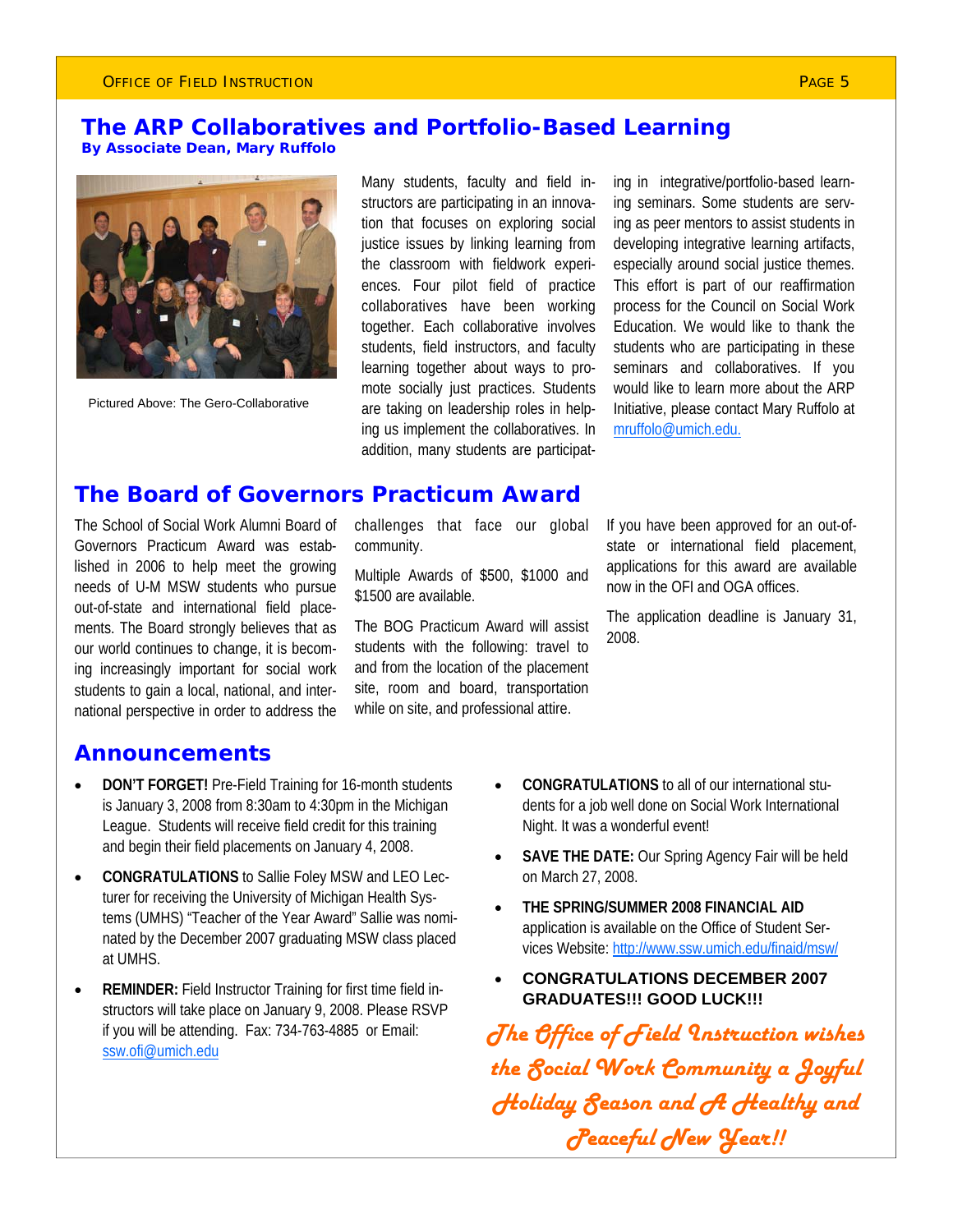### **The ARP Collaboratives and Portfolio-Based Learning By Associate Dean, Mary Ruffolo**



Pictured Above: The Gero-Collaborative

Many students, faculty and field instructors are participating in an innovation that focuses on exploring social justice issues by linking learning from the classroom with fieldwork experiences. Four pilot field of practice collaboratives have been working together. Each collaborative involves students, field instructors, and faculty learning together about ways to promote socially just practices. Students are taking on leadership roles in helping us implement the collaboratives. In addition, many students are participating in integrative/portfolio-based learning seminars. Some students are serving as peer mentors to assist students in developing integrative learning artifacts, especially around social justice themes. This effort is part of our reaffirmation process for the Council on Social Work Education. We would like to thank the students who are participating in these seminars and collaboratives. If you would like to learn more about the ARP Initiative, please contact Mary Ruffolo at mruffolo@umich.edu.

### **The Board of Governors Practicum Award**

The School of Social Work Alumni Board of Governors Practicum Award was established in 2006 to help meet the growing needs of U-M MSW students who pursue out-of-state and international field placements. The Board strongly believes that as our world continues to change, it is becoming increasingly important for social work students to gain a local, national, and international perspective in order to address the

challenges that face our global community.

Multiple Awards of \$500, \$1000 and \$1500 are available.

The BOG Practicum Award will assist students with the following: travel to and from the location of the placement site, room and board, transportation while on site, and professional attire.

If you have been approved for an out-ofstate or international field placement, applications for this award are available now in the OFI and OGA offices.

The application deadline is January 31, 2008.

### **Announcements**

- **DON'T FORGET!** Pre-Field Training for 16-month students is January 3, 2008 from 8:30am to 4:30pm in the Michigan League. Students will receive field credit for this training and begin their field placements on January 4, 2008.
- **CONGRATULATIONS** to Sallie Foley MSW and LEO Lecturer for receiving the University of Michigan Health Systems (UMHS) "Teacher of the Year Award" Sallie was nominated by the December 2007 graduating MSW class placed at UMHS.
- **REMINDER:** Field Instructor Training for first time field instructors will take place on January 9, 2008. Please RSVP if you will be attending. Fax: 734-763-4885 or Email: ssw.ofi@umich.edu
- **CONGRATULATIONS** to all of our international students for a job well done on Social Work International Night. It was a wonderful event!
- **SAVE THE DATE:** Our Spring Agency Fair will be held on March 27, 2008.
- **THE SPRING/SUMMER 2008 FINANCIAL AID**  application is available on the Office of Student Services Website: http://www.ssw.umich.edu/finaid/msw/
- **CONGRATULATIONS DECEMBER 2007 GRADUATES!!! GOOD LUCK!!!**

*The Office of Field Instruction wishes the Social Work Community a Joyful Holiday Season and A Healthy and Peaceful New Year!!*